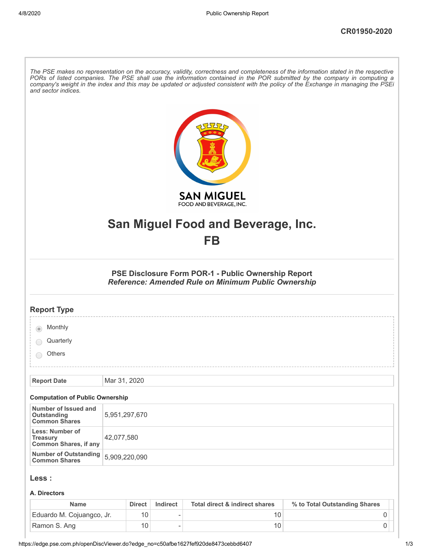| and sector indices.                                                | The PSE makes no representation on the accuracy, validity, correctness and completeness of the information stated in the respective<br>PORs of listed companies. The PSE shall use the information contained in the POR submitted by the company in computing a<br>company's weight in the index and this may be updated or adjusted consistent with the policy of the Exchange in managing the PSEi |
|--------------------------------------------------------------------|------------------------------------------------------------------------------------------------------------------------------------------------------------------------------------------------------------------------------------------------------------------------------------------------------------------------------------------------------------------------------------------------------|
|                                                                    | <b>SAN MIGUEL</b><br>FOOD AND BEVERAGE, INC.                                                                                                                                                                                                                                                                                                                                                         |
|                                                                    |                                                                                                                                                                                                                                                                                                                                                                                                      |
|                                                                    | San Miguel Food and Beverage, Inc.                                                                                                                                                                                                                                                                                                                                                                   |
|                                                                    | FB                                                                                                                                                                                                                                                                                                                                                                                                   |
|                                                                    | PSE Disclosure Form POR-1 - Public Ownership Report<br>Reference: Amended Rule on Minimum Public Ownership                                                                                                                                                                                                                                                                                           |
| <b>Report Type</b>                                                 |                                                                                                                                                                                                                                                                                                                                                                                                      |
| Monthly                                                            |                                                                                                                                                                                                                                                                                                                                                                                                      |
| Quarterly                                                          |                                                                                                                                                                                                                                                                                                                                                                                                      |
| <b>Others</b>                                                      |                                                                                                                                                                                                                                                                                                                                                                                                      |
|                                                                    |                                                                                                                                                                                                                                                                                                                                                                                                      |
| <b>Report Date</b>                                                 | Mar 31, 2020                                                                                                                                                                                                                                                                                                                                                                                         |
| <b>Computation of Public Ownership</b>                             |                                                                                                                                                                                                                                                                                                                                                                                                      |
| Number of Issued and<br>Outstanding<br><b>Common Shares</b>        | 5,951,297,670                                                                                                                                                                                                                                                                                                                                                                                        |
| Less: Number of<br><b>Treasury</b><br><b>Common Shares, if any</b> | 42,077,580                                                                                                                                                                                                                                                                                                                                                                                           |
| <b>Number of Outstanding</b><br><b>Common Shares</b>               | 5,909,220,090                                                                                                                                                                                                                                                                                                                                                                                        |
| Less :                                                             |                                                                                                                                                                                                                                                                                                                                                                                                      |
| A. Directors                                                       |                                                                                                                                                                                                                                                                                                                                                                                                      |

| Name                      | <b>Direct</b> | Indirect | Total direct & indirect shares | % to Total Outstanding Shares |
|---------------------------|---------------|----------|--------------------------------|-------------------------------|
| Eduardo M. Cojuangco, Jr. |               |          |                                |                               |
| Ramon S. Ang              |               |          |                                |                               |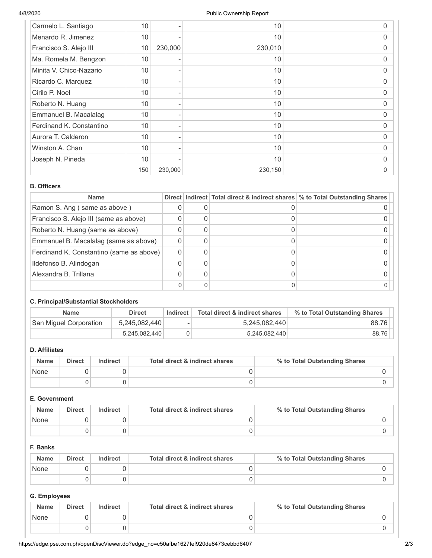| Carmelo L. Santiago      | 10  |         | 10      | 0 |
|--------------------------|-----|---------|---------|---|
| Menardo R. Jimenez       | 10  |         | 10      | 0 |
| Francisco S. Alejo III   | 10  | 230,000 | 230,010 | O |
| Ma. Romela M. Bengzon    | 10  |         | 10      | O |
| Minita V. Chico-Nazario  | 10  |         | 10      | 0 |
| Ricardo C. Marquez       | 10  |         | 10      | 0 |
| Cirilo P. Noel           | 10  |         | 10      | O |
| Roberto N. Huang         | 10  |         | 10      | 0 |
| Emmanuel B. Macalalag    | 10  |         | 10      | 0 |
| Ferdinand K. Constantino | 10  |         | 10      | O |
| Aurora T. Calderon       | 10  |         | 10      | 0 |
| Winston A. Chan          | 10  |         | 10      | 0 |
| Joseph N. Pineda         | 10  |         | 10      | 0 |
|                          | 150 | 230,000 | 230,150 | 0 |

### **B. Officers**

| <b>Name</b>                              |  | Direct   Indirect   Total direct & indirect shares   % to Total Outstanding Shares |
|------------------------------------------|--|------------------------------------------------------------------------------------|
| Ramon S. Ang (same as above)             |  |                                                                                    |
| Francisco S. Alejo III (same as above)   |  |                                                                                    |
| Roberto N. Huang (same as above)         |  |                                                                                    |
| Emmanuel B. Macalalag (same as above)    |  |                                                                                    |
| Ferdinand K. Constantino (same as above) |  |                                                                                    |
| Ildefonso B. Alindogan                   |  |                                                                                    |
| Alexandra B. Trillana                    |  |                                                                                    |
|                                          |  |                                                                                    |

# **C. Principal/Substantial Stockholders**

| <b>Name</b>            | <b>Direct</b> | Indirect | Total direct & indirect shares | % to Total Outstanding Shares |
|------------------------|---------------|----------|--------------------------------|-------------------------------|
| San Miguel Corporation | 5,245,082,440 | ۰        | 5,245,082,440                  | 88.76                         |
|                        | 5,245,082,440 |          | 5,245,082,440                  | 88.76                         |

# **D. Affiliates**

| <b>Name</b> | <b>Direct</b> | Indirect | Total direct & indirect shares | % to Total Outstanding Shares |
|-------------|---------------|----------|--------------------------------|-------------------------------|
| None        |               |          |                                |                               |
|             |               |          |                                |                               |

# **E. Government**

| <b>Name</b> | <b>Direct</b> | <b>Indirect</b> | Total direct & indirect shares | % to Total Outstanding Shares |
|-------------|---------------|-----------------|--------------------------------|-------------------------------|
| None        |               |                 |                                |                               |
|             |               |                 |                                |                               |

### **F. Banks**

| <b>Name</b> | <b>Direct</b> | Indirect | Total direct & indirect shares | % to Total Outstanding Shares |
|-------------|---------------|----------|--------------------------------|-------------------------------|
| None        |               |          |                                |                               |
|             |               |          |                                |                               |

# **G. Employees**

| <b>Name</b> | <b>Direct</b> | Indirect | Total direct & indirect shares | % to Total Outstanding Shares |
|-------------|---------------|----------|--------------------------------|-------------------------------|
| None        |               |          |                                |                               |
|             |               |          |                                |                               |